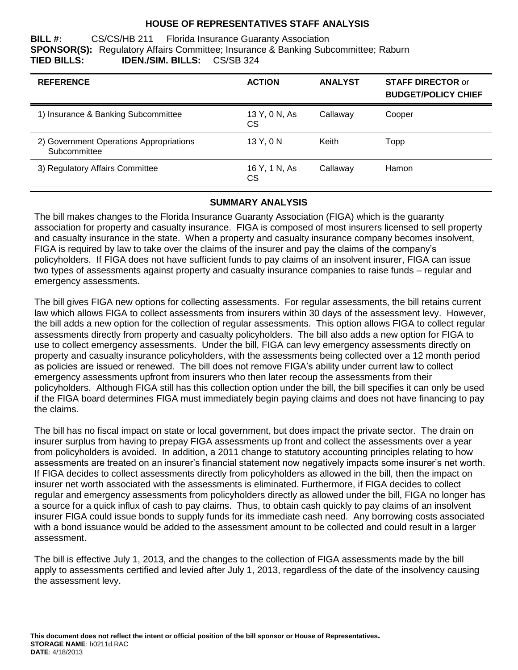#### **HOUSE OF REPRESENTATIVES STAFF ANALYSIS**

**BILL #:** CS/CS/HB 211 Florida Insurance Guaranty Association **SPONSOR(S):** Regulatory Affairs Committee; Insurance & Banking Subcommittee; Raburn **TIED BILLS: IDEN./SIM. BILLS:** CS/SB 324

| <b>REFERENCE</b>                                        | <b>ACTION</b>       | <b>ANALYST</b> | <b>STAFF DIRECTOR or</b><br><b>BUDGET/POLICY CHIEF</b> |
|---------------------------------------------------------|---------------------|----------------|--------------------------------------------------------|
| 1) Insurance & Banking Subcommittee                     | 13 Y, 0 N, As<br>CS | Callaway       | Cooper                                                 |
| 2) Government Operations Appropriations<br>Subcommittee | 13 Y, 0 N           | Keith          | Topp                                                   |
| 3) Regulatory Affairs Committee                         | 16 Y, 1 N, As<br>СS | Callaway       | <b>Hamon</b>                                           |

#### **SUMMARY ANALYSIS**

The bill makes changes to the Florida Insurance Guaranty Association (FIGA) which is the guaranty association for property and casualty insurance. FIGA is composed of most insurers licensed to sell property and casualty insurance in the state. When a property and casualty insurance company becomes insolvent, FIGA is required by law to take over the claims of the insurer and pay the claims of the company's policyholders. If FIGA does not have sufficient funds to pay claims of an insolvent insurer, FIGA can issue two types of assessments against property and casualty insurance companies to raise funds – regular and emergency assessments.

The bill gives FIGA new options for collecting assessments. For regular assessments, the bill retains current law which allows FIGA to collect assessments from insurers within 30 days of the assessment levy. However, the bill adds a new option for the collection of regular assessments. This option allows FIGA to collect regular assessments directly from property and casualty policyholders. The bill also adds a new option for FIGA to use to collect emergency assessments. Under the bill, FIGA can levy emergency assessments directly on property and casualty insurance policyholders, with the assessments being collected over a 12 month period as policies are issued or renewed. The bill does not remove FIGA's ability under current law to collect emergency assessments upfront from insurers who then later recoup the assessments from their policyholders. Although FIGA still has this collection option under the bill, the bill specifies it can only be used if the FIGA board determines FIGA must immediately begin paying claims and does not have financing to pay the claims.

The bill has no fiscal impact on state or local government, but does impact the private sector. The drain on insurer surplus from having to prepay FIGA assessments up front and collect the assessments over a year from policyholders is avoided. In addition, a 2011 change to statutory accounting principles relating to how assessments are treated on an insurer's financial statement now negatively impacts some insurer's net worth. If FIGA decides to collect assessments directly from policyholders as allowed in the bill, then the impact on insurer net worth associated with the assessments is eliminated. Furthermore, if FIGA decides to collect regular and emergency assessments from policyholders directly as allowed under the bill, FIGA no longer has a source for a quick influx of cash to pay claims. Thus, to obtain cash quickly to pay claims of an insolvent insurer FIGA could issue bonds to supply funds for its immediate cash need. Any borrowing costs associated with a bond issuance would be added to the assessment amount to be collected and could result in a larger assessment.

The bill is effective July 1, 2013, and the changes to the collection of FIGA assessments made by the bill apply to assessments certified and levied after July 1, 2013, regardless of the date of the insolvency causing the assessment levy.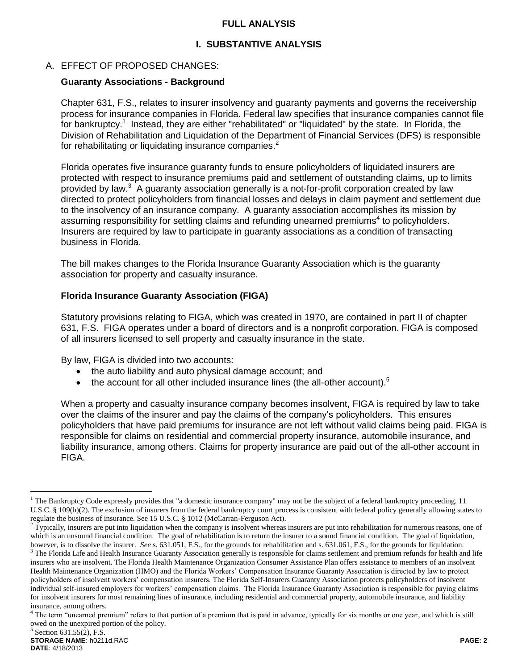#### **FULL ANALYSIS**

### **I. SUBSTANTIVE ANALYSIS**

#### A. EFFECT OF PROPOSED CHANGES:

#### **Guaranty Associations - Background**

Chapter 631, F.S., relates to insurer insolvency and guaranty payments and governs the receivership process for insurance companies in Florida. Federal law specifies that insurance companies cannot file for bankruptcy.<sup>1</sup> Instead, they are either "rehabilitated" or "liquidated" by the state. In Florida, the Division of Rehabilitation and Liquidation of the Department of Financial Services (DFS) is responsible for rehabilitating or liquidating insurance companies. $2$ 

Florida operates five insurance guaranty funds to ensure policyholders of liquidated insurers are protected with respect to insurance premiums paid and settlement of outstanding claims, up to limits provided by law.<sup>3</sup> A guaranty association generally is a not-for-profit corporation created by law directed to protect policyholders from financial losses and delays in claim payment and settlement due to the insolvency of an insurance company. A guaranty association accomplishes its mission by assuming responsibility for settling claims and refunding unearned premiums<sup>4</sup> to policyholders. Insurers are required by law to participate in guaranty associations as a condition of transacting business in Florida.

The bill makes changes to the Florida Insurance Guaranty Association which is the guaranty association for property and casualty insurance.

#### **Florida Insurance Guaranty Association (FIGA)**

Statutory provisions relating to FIGA, which was created in 1970, are contained in part II of chapter 631, F.S. FIGA operates under a board of directors and is a nonprofit corporation. FIGA is composed of all insurers licensed to sell property and casualty insurance in the state.

By law, FIGA is divided into two accounts:

- the auto liability and auto physical damage account; and
- $\bullet$  the account for all other included insurance lines (the all-other account).<sup>5</sup>

When a property and casualty insurance company becomes insolvent, FIGA is required by law to take over the claims of the insurer and pay the claims of the company's policyholders. This ensures policyholders that have paid premiums for insurance are not left without valid claims being paid. FIGA is responsible for claims on residential and commercial property insurance, automobile insurance, and liability insurance, among others. Claims for property insurance are paid out of the all-other account in FIGA.

 $\overline{a}$ 

 $<sup>1</sup>$  The Bankruptcy Code expressly provides that "a domestic insurance company" may not be the subject of a federal bankruptcy proceeding. 11</sup> U.S.C. § 109(b)(2). The exclusion of insurers from the federal bankruptcy court process is consistent with federal policy generally allowing states to regulate the business of insurance. See 15 U.S.C. § 1012 (McCarran-Ferguson Act).

 $2$  Typically, insurers are put into liquidation when the company is insolvent whereas insurers are put into rehabilitation for numerous reasons, one of which is an unsound financial condition. The goal of rehabilitation is to return the insurer to a sound financial condition. The goal of liquidation, however, is to dissolve the insurer. *See* s. 631.051, F.S., for the grounds for rehabilitation and s. 631.061, F.S., for the grounds for liquidation.  $3$  The Florida Life and Health Insurance Guaranty Association generally is responsible for claims settlement and premium refunds for health and life

insurers who are insolvent. The Florida Health Maintenance Organization Consumer Assistance Plan offers assistance to members of an insolvent Health Maintenance Organization (HMO) and the Florida Workers' Compensation Insurance Guaranty Association is directed by law to protect policyholders of insolvent workers' compensation insurers. The Florida Self-Insurers Guaranty Association protects policyholders of insolvent individual self-insured employers for workers' compensation claims. The Florida Insurance Guaranty Association is responsible for paying claims for insolvent insurers for most remaining lines of insurance, including residential and commercial property, automobile insurance, and liability insurance, among others.

<sup>&</sup>lt;sup>4</sup> The term "unearned premium" refers to that portion of a premium that is paid in advance, typically for six months or one year, and which is still owed on the unexpired portion of the policy.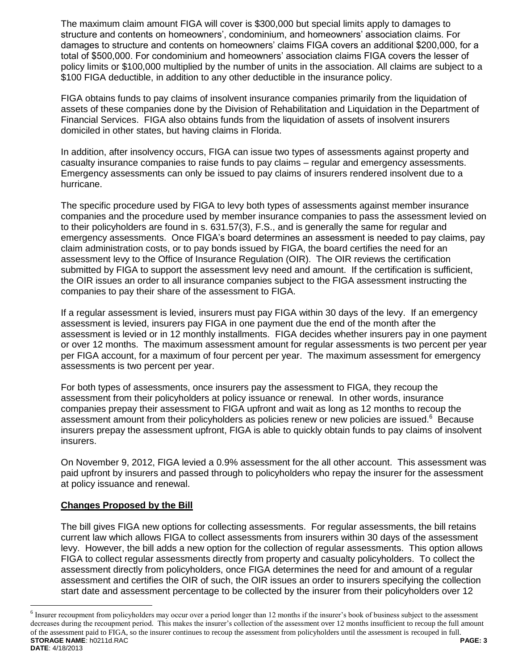The maximum claim amount FIGA will cover is \$300,000 but special limits apply to damages to structure and contents on homeowners', condominium, and homeowners' association claims. For damages to structure and contents on homeowners' claims FIGA covers an additional \$200,000, for a total of \$500,000. For condominium and homeowners' association claims FIGA covers the lesser of policy limits or \$100,000 multiplied by the number of units in the association. All claims are subject to a \$100 FIGA deductible, in addition to any other deductible in the insurance policy.

FIGA obtains funds to pay claims of insolvent insurance companies primarily from the liquidation of assets of these companies done by the Division of Rehabilitation and Liquidation in the Department of Financial Services. FIGA also obtains funds from the liquidation of assets of insolvent insurers domiciled in other states, but having claims in Florida.

In addition, after insolvency occurs, FIGA can issue two types of assessments against property and casualty insurance companies to raise funds to pay claims – regular and emergency assessments. Emergency assessments can only be issued to pay claims of insurers rendered insolvent due to a hurricane.

The specific procedure used by FIGA to levy both types of assessments against member insurance companies and the procedure used by member insurance companies to pass the assessment levied on to their policyholders are found in s. 631.57(3), F.S., and is generally the same for regular and emergency assessments. Once FIGA's board determines an assessment is needed to pay claims, pay claim administration costs, or to pay bonds issued by FIGA, the board certifies the need for an assessment levy to the Office of Insurance Regulation (OIR). The OIR reviews the certification submitted by FIGA to support the assessment levy need and amount. If the certification is sufficient, the OIR issues an order to all insurance companies subject to the FIGA assessment instructing the companies to pay their share of the assessment to FIGA.

If a regular assessment is levied, insurers must pay FIGA within 30 days of the levy. If an emergency assessment is levied, insurers pay FIGA in one payment due the end of the month after the assessment is levied or in 12 monthly installments. FIGA decides whether insurers pay in one payment or over 12 months. The maximum assessment amount for regular assessments is two percent per year per FIGA account, for a maximum of four percent per year. The maximum assessment for emergency assessments is two percent per year.

For both types of assessments, once insurers pay the assessment to FIGA, they recoup the assessment from their policyholders at policy issuance or renewal. In other words, insurance companies prepay their assessment to FIGA upfront and wait as long as 12 months to recoup the assessment amount from their policyholders as policies renew or new policies are issued.<sup>6</sup> Because insurers prepay the assessment upfront, FIGA is able to quickly obtain funds to pay claims of insolvent insurers.

On November 9, 2012, FIGA levied a 0.9% assessment for the all other account. This assessment was paid upfront by insurers and passed through to policyholders who repay the insurer for the assessment at policy issuance and renewal.

## **Changes Proposed by the Bill**

 $\overline{a}$ 

The bill gives FIGA new options for collecting assessments. For regular assessments, the bill retains current law which allows FIGA to collect assessments from insurers within 30 days of the assessment levy. However, the bill adds a new option for the collection of regular assessments. This option allows FIGA to collect regular assessments directly from property and casualty policyholders. To collect the assessment directly from policyholders, once FIGA determines the need for and amount of a regular assessment and certifies the OIR of such, the OIR issues an order to insurers specifying the collection start date and assessment percentage to be collected by the insurer from their policyholders over 12

**STORAGE NAME**: h0211d.RAC **PAGE: 3 DATE**: 4/18/2013  $6$  Insurer recoupment from policyholders may occur over a period longer than 12 months if the insurer's book of business subject to the assessment decreases during the recoupment period. This makes the insurer's collection of the assessment over 12 months insufficient to recoup the full amount of the assessment paid to FIGA, so the insurer continues to recoup the assessment from policyholders until the assessment is recouped in full.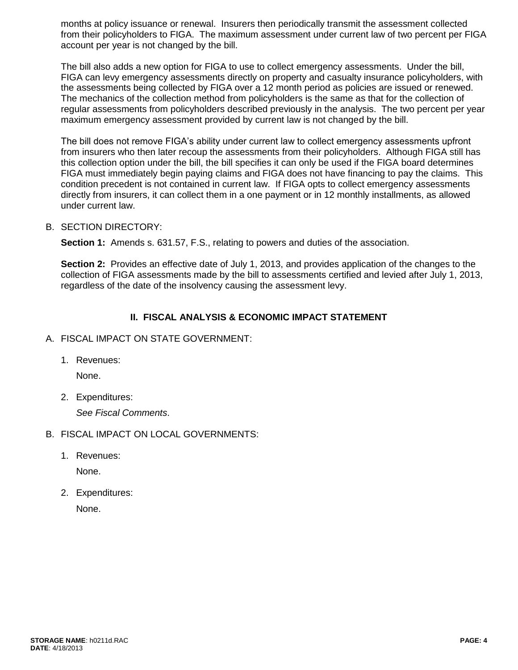months at policy issuance or renewal. Insurers then periodically transmit the assessment collected from their policyholders to FIGA. The maximum assessment under current law of two percent per FIGA account per year is not changed by the bill.

The bill also adds a new option for FIGA to use to collect emergency assessments. Under the bill, FIGA can levy emergency assessments directly on property and casualty insurance policyholders, with the assessments being collected by FIGA over a 12 month period as policies are issued or renewed. The mechanics of the collection method from policyholders is the same as that for the collection of regular assessments from policyholders described previously in the analysis. The two percent per year maximum emergency assessment provided by current law is not changed by the bill.

The bill does not remove FIGA's ability under current law to collect emergency assessments upfront from insurers who then later recoup the assessments from their policyholders. Although FIGA still has this collection option under the bill, the bill specifies it can only be used if the FIGA board determines FIGA must immediately begin paying claims and FIGA does not have financing to pay the claims. This condition precedent is not contained in current law. If FIGA opts to collect emergency assessments directly from insurers, it can collect them in a one payment or in 12 monthly installments, as allowed under current law.

#### B. SECTION DIRECTORY:

**Section 1:** Amends s. 631.57, F.S., relating to powers and duties of the association.

**Section 2:** Provides an effective date of July 1, 2013, and provides application of the changes to the collection of FIGA assessments made by the bill to assessments certified and levied after July 1, 2013, regardless of the date of the insolvency causing the assessment levy.

# **II. FISCAL ANALYSIS & ECONOMIC IMPACT STATEMENT**

#### A. FISCAL IMPACT ON STATE GOVERNMENT:

1. Revenues:

None.

2. Expenditures:

*See Fiscal Comments*.

- B. FISCAL IMPACT ON LOCAL GOVERNMENTS:
	- 1. Revenues:

None.

2. Expenditures:

None.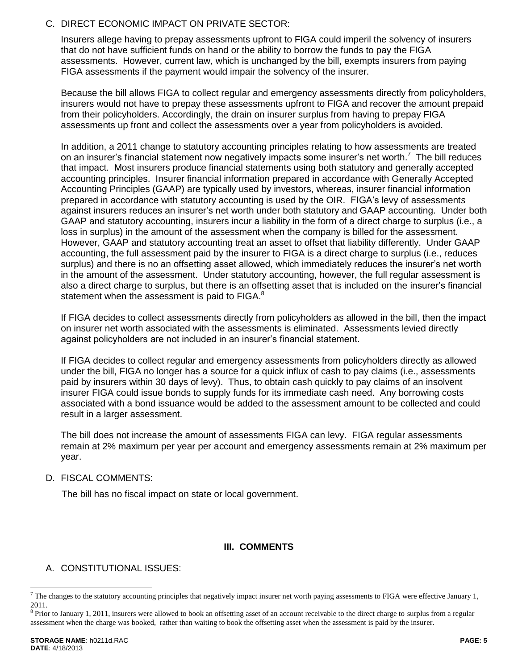#### C. DIRECT ECONOMIC IMPACT ON PRIVATE SECTOR:

Insurers allege having to prepay assessments upfront to FIGA could imperil the solvency of insurers that do not have sufficient funds on hand or the ability to borrow the funds to pay the FIGA assessments. However, current law, which is unchanged by the bill, exempts insurers from paying FIGA assessments if the payment would impair the solvency of the insurer.

Because the bill allows FIGA to collect regular and emergency assessments directly from policyholders, insurers would not have to prepay these assessments upfront to FIGA and recover the amount prepaid from their policyholders. Accordingly, the drain on insurer surplus from having to prepay FIGA assessments up front and collect the assessments over a year from policyholders is avoided.

In addition, a 2011 change to statutory accounting principles relating to how assessments are treated on an insurer's financial statement now negatively impacts some insurer's net worth.<sup>7</sup> The bill reduces that impact. Most insurers produce financial statements using both statutory and generally accepted accounting principles. Insurer financial information prepared in accordance with Generally Accepted Accounting Principles (GAAP) are typically used by investors, whereas, insurer financial information prepared in accordance with statutory accounting is used by the OIR. FIGA's levy of assessment*s*  against insurers reduces an insurer's net worth under both statutory and GAAP accounting.Under both GAAP and statutory accounting, insurers incur a liability in the form of a direct charge to surplus (i.e., a loss in surplus) in the amount of the assessment when the company is billed for the assessment. However, GAAP and statutory accounting treat an asset to offset that liability differently. Under GAAP accounting, the full assessment paid by the insurer to FIGA is a direct charge to surplus (i.e., reduces surplus) and there is no an offsetting asset allowed, which immediately reduces the insurer's net worth in the amount of the assessment. Under statutory accounting, however, the full regular assessment is also a direct charge to surplus, but there is an offsetting asset that is included on the insurer's financial statement when the assessment is paid to FIGA.<sup>8</sup>

If FIGA decides to collect assessments directly from policyholders as allowed in the bill, then the impact on insurer net worth associated with the assessments is eliminated. Assessments levied directly against policyholders are not included in an insurer's financial statement.

If FIGA decides to collect regular and emergency assessments from policyholders directly as allowed under the bill, FIGA no longer has a source for a quick influx of cash to pay claims (i.e., assessments paid by insurers within 30 days of levy). Thus, to obtain cash quickly to pay claims of an insolvent insurer FIGA could issue bonds to supply funds for its immediate cash need. Any borrowing costs associated with a bond issuance would be added to the assessment amount to be collected and could result in a larger assessment.

The bill does not increase the amount of assessments FIGA can levy. FIGA regular assessments remain at 2% maximum per year per account and emergency assessments remain at 2% maximum per year.

#### D. FISCAL COMMENTS:

The bill has no fiscal impact on state or local government.

## **III. COMMENTS**

## A. CONSTITUTIONAL ISSUES:

 $\overline{a}$ 

 $7$  The changes to the statutory accounting principles that negatively impact insurer net worth paying assessments to FIGA were effective January 1, 2011.

 $8$  Prior to January 1, 2011, insurers were allowed to book an offsetting asset of an account receivable to the direct charge to surplus from a regular assessment when the charge was booked, rather than waiting to book the offsetting asset when the assessment is paid by the insurer.